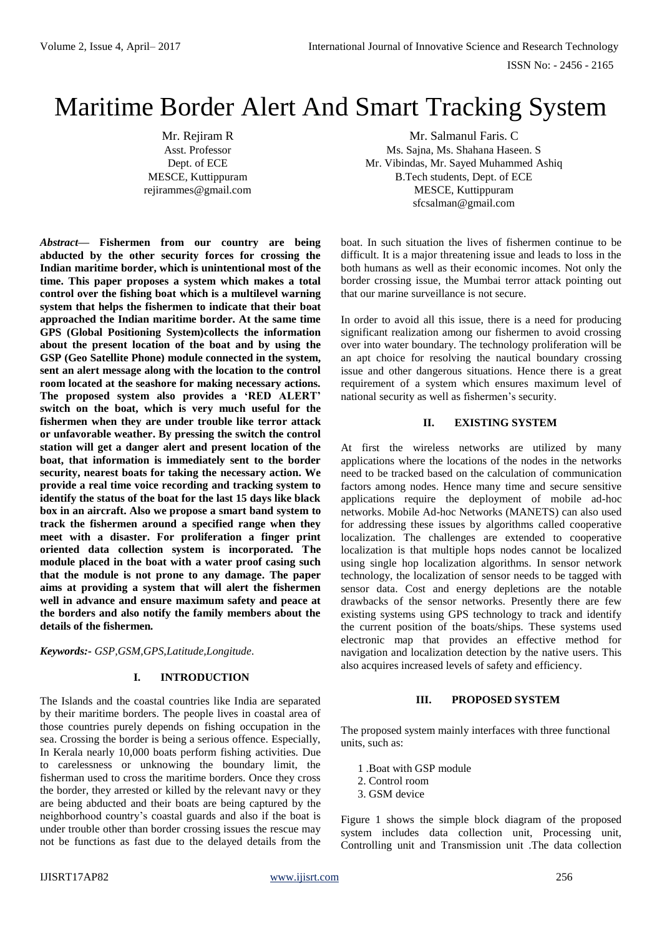ISSN No: - 2456 - 2165

# Maritime Border Alert And Smart Tracking System

Mr. Rejiram R Mr. Salmanul Faris. C Asst. Professor Ms. Sajna, Ms. Shahana Haseen. S Dept. of ECE Mr. Vibindas, Mr. Sayed Muhammed Ashiq MESCE, Kuttippuram B.Tech students, Dept. of ECE rejirammes@gmail.com MESCE, Kuttippuram [sfcsalman@gmail.com](mailto:sfcsalman@gmail.com)

*Abstract***— Fishermen from our country are being abducted by the other security forces for crossing the Indian maritime border, which is unintentional most of the time. This paper proposes a system which makes a total control over the fishing boat which is a multilevel warning system that helps the fishermen to indicate that their boat approached the Indian maritime border. At the same time GPS (Global Positioning System)collects the information about the present location of the boat and by using the GSP (Geo Satellite Phone) module connected in the system, sent an alert message along with the location to the control room located at the seashore for making necessary actions. The proposed system also provides a 'RED ALERT' switch on the boat, which is very much useful for the fishermen when they are under trouble like terror attack or unfavorable weather. By pressing the switch the control station will get a danger alert and present location of the boat, that information is immediately sent to the border security, nearest boats for taking the necessary action. We provide a real time voice recording and tracking system to identify the status of the boat for the last 15 days like black box in an aircraft. Also we propose a smart band system to track the fishermen around a specified range when they meet with a disaster. For proliferation a finger print oriented data collection system is incorporated. The module placed in the boat with a water proof casing such that the module is not prone to any damage. The paper aims at providing a system that will alert the fishermen well in advance and ensure maximum safety and peace at the borders and also notify the family members about the details of the fishermen***.*

*Keywords:- GSP,GSM,GPS,Latitude,Longitude.*

## **I. INTRODUCTION**

The Islands and the coastal countries like India are separated by their maritime borders. The people lives in coastal area of those countries purely depends on fishing occupation in the sea. Crossing the border is being a serious offence. Especially, In Kerala nearly 10,000 boats perform fishing activities. Due to carelessness or unknowing the boundary limit, the fisherman used to cross the maritime borders. Once they cross the border, they arrested or killed by the relevant navy or they are being abducted and their boats are being captured by the neighborhood country's coastal guards and also if the boat is under trouble other than border crossing issues the rescue may not be functions as fast due to the delayed details from the

boat. In such situation the lives of fishermen continue to be difficult. It is a major threatening issue and leads to loss in the both humans as well as their economic incomes. Not only the border crossing issue, the Mumbai terror attack pointing out that our marine surveillance is not secure.

In order to avoid all this issue, there is a need for producing significant realization among our fishermen to avoid crossing over into water boundary. The technology proliferation will be an apt choice for resolving the nautical boundary crossing issue and other dangerous situations. Hence there is a great requirement of a system which ensures maximum level of national security as well as fishermen's security.

## **II. EXISTING SYSTEM**

At first the wireless networks are utilized by many applications where the locations of the nodes in the networks need to be tracked based on the calculation of communication factors among nodes. Hence many time and secure sensitive applications require the deployment of mobile ad-hoc networks. Mobile Ad-hoc Networks (MANETS) can also used for addressing these issues by algorithms called cooperative localization. The challenges are extended to cooperative localization is that multiple hops nodes cannot be localized using single hop localization algorithms. In sensor network technology, the localization of sensor needs to be tagged with sensor data. Cost and energy depletions are the notable drawbacks of the sensor networks. Presently there are few existing systems using GPS technology to track and identify the current position of the boats/ships. These systems used electronic map that provides an effective method for navigation and localization detection by the native users. This also acquires increased levels of safety and efficiency.

### **III. PROPOSED SYSTEM**

The proposed system mainly interfaces with three functional units, such as:

- 1 .Boat with GSP module
- 2. Control room
- 3. GSM device

Figure 1 shows the simple block diagram of the proposed system includes data collection unit, Processing unit, Controlling unit and Transmission unit .The data collection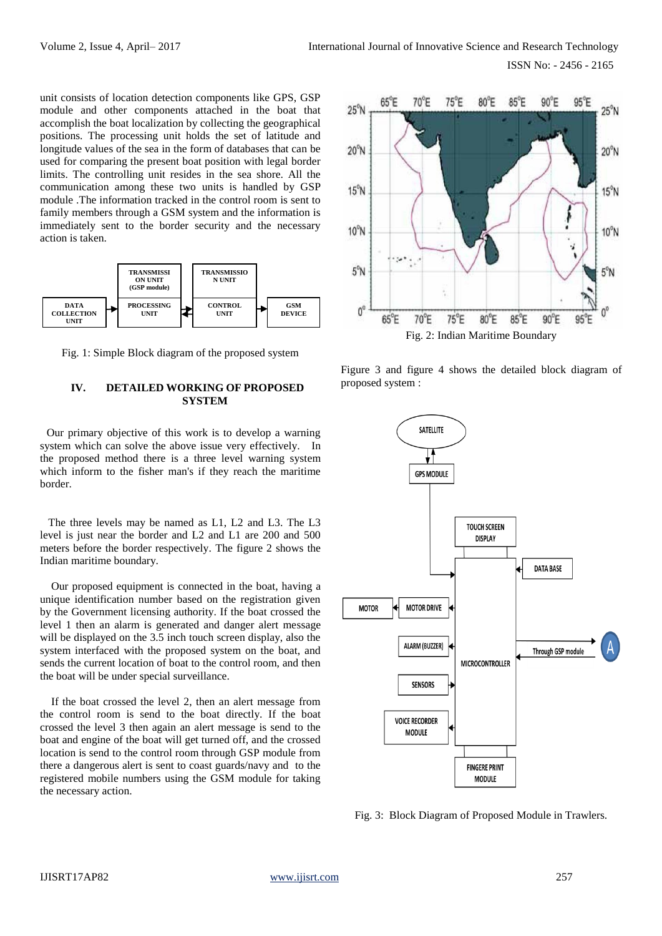ISSN No: - 2456 - 2165

unit consists of location detection components like GPS, GSP module and other components attached in the boat that accomplish the boat localization by collecting the geographical positions. The processing unit holds the set of latitude and longitude values of the sea in the form of databases that can be used for comparing the present boat position with legal border limits. The controlling unit resides in the sea shore. All the communication among these two units is handled by GSP module .The information tracked in the control room is sent to family members through a GSM system and the information is immediately sent to the border security and the necessary action is taken.



Fig. 1: Simple Block diagram of the proposed system

## **IV. DETAILED WORKING OF PROPOSED SYSTEM**

 Our primary objective of this work is to develop a warning system which can solve the above issue very effectively. In the proposed method there is a three level warning system which inform to the fisher man's if they reach the maritime border.

 The three levels may be named as L1, L2 and L3. The L3 level is just near the border and L2 and L1 are 200 and 500 meters before the border respectively. The figure 2 shows the Indian maritime boundary.

 Our proposed equipment is connected in the boat, having a unique identification number based on the registration given by the Government licensing authority. If the boat crossed the level 1 then an alarm is generated and danger alert message will be displayed on the 3.5 inch touch screen display, also the system interfaced with the proposed system on the boat, and sends the current location of boat to the control room, and then the boat will be under special surveillance.

 If the boat crossed the level 2, then an alert message from the control room is send to the boat directly. If the boat crossed the level 3 then again an alert message is send to the boat and engine of the boat will get turned off, and the crossed location is send to the control room through GSP module from there a dangerous alert is sent to coast guards/navy and to the registered mobile numbers using the GSM module for taking the necessary action.



Figure 3 and figure 4 shows the detailed block diagram of proposed system :



Fig. 3: Block Diagram of Proposed Module in Trawlers.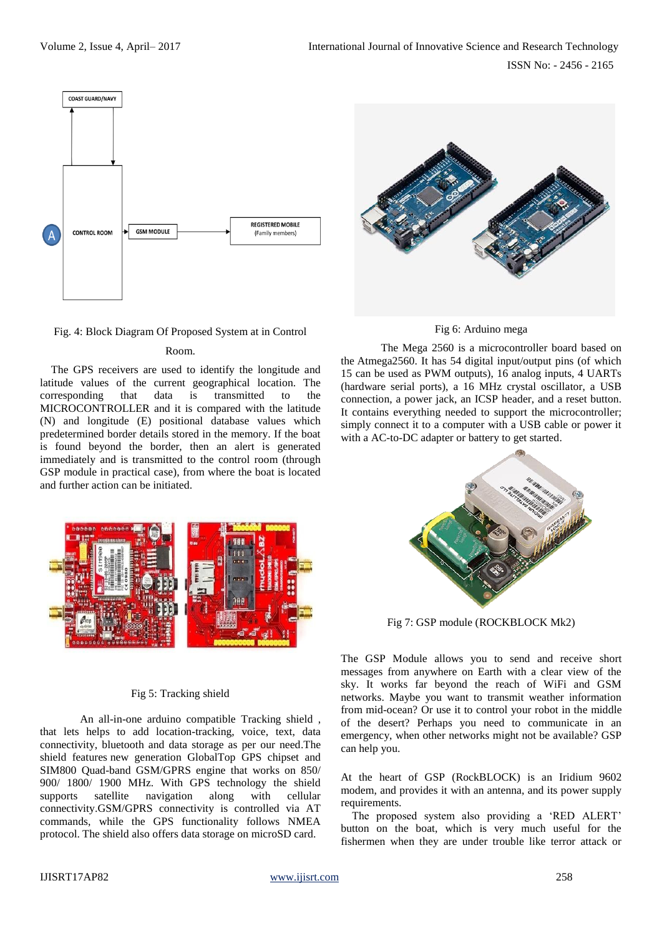

# Fig. 4: Block Diagram Of Proposed System at in Control

## Room.

 The GPS receivers are used to identify the longitude and latitude values of the current geographical location. The corresponding that data is transmitted to the MICROCONTROLLER and it is compared with the latitude (N) and longitude (E) positional database values which predetermined border details stored in the memory. If the boat is found beyond the border, then an alert is generated immediately and is transmitted to the control room (through GSP module in practical case), from where the boat is located and further action can be initiated.





The Mega 2560 is a microcontroller board based on the Atmega2560. It has 54 digital input/output pins (of which 15 can be used as PWM outputs), 16 analog inputs, 4 UARTs (hardware serial ports), a 16 MHz crystal oscillator, a USB connection, a power jack, an ICSP header, and a reset button. It contains everything needed to support the microcontroller; simply connect it to a computer with a USB cable or power it with a AC-to-DC adapter or battery to get started.



Fig 7: GSP module (ROCKBLOCK Mk2)

The GSP Module allows you to send and receive short messages from anywhere on Earth with a clear view of the sky. It works far beyond the reach of WiFi and GSM networks. Maybe you want to transmit weather information from mid-ocean? Or use it to control your robot in the middle of the desert? Perhaps you need to communicate in an emergency, when other networks might not be available? GSP can help you.

At the heart of GSP (RockBLOCK) is an Iridium 9602 modem, and provides it with an antenna, and its power supply requirements.

 The proposed system also providing a 'RED ALERT' button on the boat, which is very much useful for the fishermen when they are under trouble like terror attack or



#### Fig 5: Tracking shield

An all-in-one arduino compatible Tracking shield , that lets helps to add location-tracking, voice, text, data connectivity, bluetooth and data storage as per our need.The shield features new generation GlobalTop GPS chipset and SIM800 Quad-band GSM/GPRS engine that works on 850/ 900/ 1800/ 1900 MHz. With GPS technology the shield supports satellite navigation along with cellular connectivity.GSM/GPRS connectivity is controlled via AT commands, while the GPS functionality follows NMEA protocol. The shield also offers data storage on microSD card.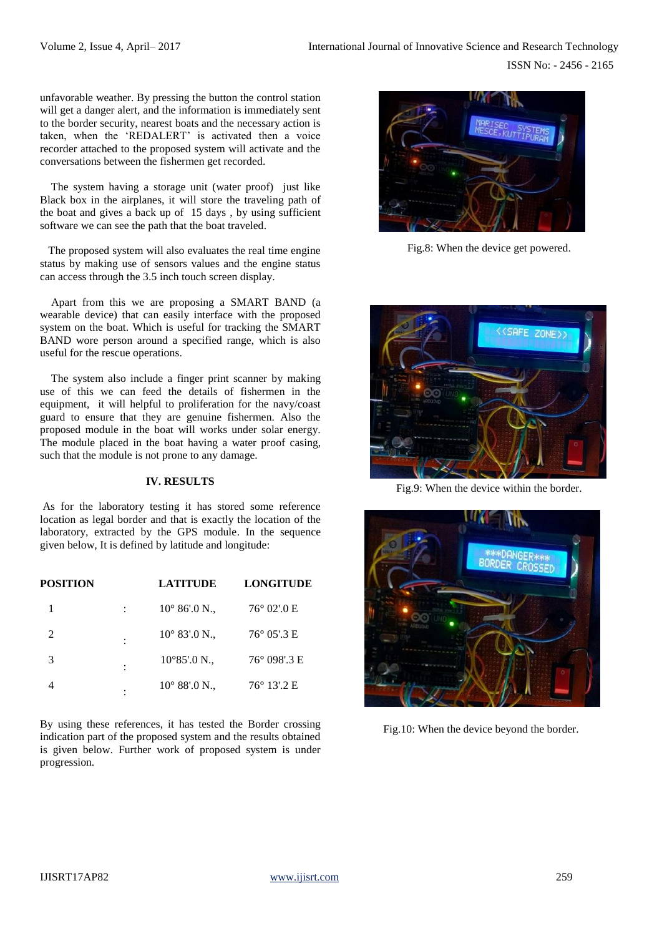unfavorable weather. By pressing the button the control station will get a danger alert, and the information is immediately sent to the border security, nearest boats and the necessary action is taken, when the 'REDALERT' is activated then a voice recorder attached to the proposed system will activate and the conversations between the fishermen get recorded.

 The system having a storage unit (water proof) just like Black box in the airplanes, it will store the traveling path of the boat and gives a back up of 15 days , by using sufficient software we can see the path that the boat traveled.

 The proposed system will also evaluates the real time engine status by making use of sensors values and the engine status can access through the 3.5 inch touch screen display.

 Apart from this we are proposing a SMART BAND (a wearable device) that can easily interface with the proposed system on the boat. Which is useful for tracking the SMART BAND wore person around a specified range, which is also useful for the rescue operations.

 The system also include a finger print scanner by making use of this we can feed the details of fishermen in the equipment, it will helpful to proliferation for the navy/coast guard to ensure that they are genuine fishermen. Also the proposed module in the boat will works under solar energy. The module placed in the boat having a water proof casing, such that the module is not prone to any damage.

## **IV. RESULTS**

As for the laboratory testing it has stored some reference location as legal border and that is exactly the location of the laboratory, extracted by the GPS module. In the sequence given below, It is defined by latitude and longitude:

| <b>POSITION</b> |   | <b>LATITUDE</b>        | <b>LONGITUDE</b>     |
|-----------------|---|------------------------|----------------------|
|                 |   | $10^{\circ} 86'$ .0 N. | $76^{\circ}$ 02'.0 E |
| 2               |   | $10^{\circ}$ 83'.0 N.  | $76^{\circ}$ 05'.3 E |
| 3               |   | $10^{\circ}85'$ :0 N., | 76° 098'.3 E         |
|                 | ٠ | $10^{\circ}$ 88'.0 N., | $76^{\circ}$ 13'.2 E |

By using these references, it has tested the Border crossing indication part of the proposed system and the results obtained is given below. Further work of proposed system is under progression.



Fig.8: When the device get powered.



Fig.9: When the device within the border.



Fig.10: When the device beyond the border.